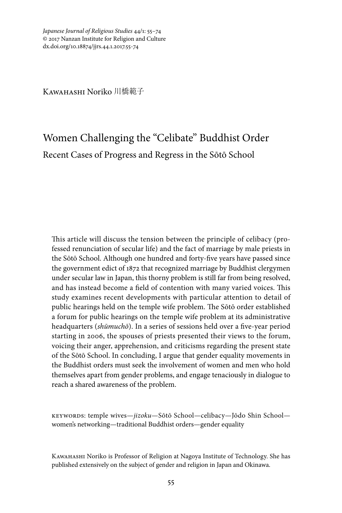Kawahashi Noriko 川橋範子

# Women Challenging the "Celibate" Buddhist Order Recent Cases of Progress and Regress in the Sōtō School

This article will discuss the tension between the principle of celibacy (professed renunciation of secular life) and the fact of marriage by male priests in the Sōtō School. Although one hundred and forty-five years have passed since the government edict of 1872 that recognized marriage by Buddhist clergymen under secular law in Japan, this thorny problem is still far from being resolved, and has instead become a field of contention with many varied voices. This study examines recent developments with particular attention to detail of public hearings held on the temple wife problem. The Sōtō order established a forum for public hearings on the temple wife problem at its administrative headquarters (*shūmuchō*). In a series of sessions held over a five-year period starting in 2006, the spouses of priests presented their views to the forum, voicing their anger, apprehension, and criticisms regarding the present state of the Sōtō School. In concluding, I argue that gender equality movements in the Buddhist orders must seek the involvement of women and men who hold themselves apart from gender problems, and engage tenaciously in dialogue to reach a shared awareness of the problem.

keywords: temple wives—*jizoku*—Sōtō School—celibacy—Jōdo Shin School women's networking—traditional Buddhist orders—gender equality

Kawahashi Noriko is Professor of Religion at Nagoya Institute of Technology. She has published extensively on the subject of gender and religion in Japan and Okinawa.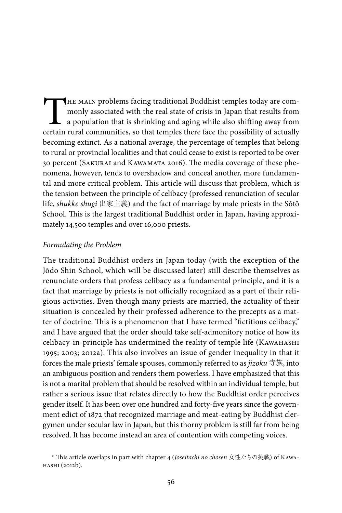THE MAIN problems facing traditional Buddhist temples today are com-<br>monly associated with the real state of crisis in Japan that results from<br>a population that is shrinking and aging while also shifting away from<br>certain monly associated with the real state of crisis in Japan that results from a population that is shrinking and aging while also shifting away from certain rural communities, so that temples there face the possibility of actually becoming extinct. As a national average, the percentage of temples that belong to rural or provincial localities and that could cease to exist is reported to be over 30 percent (SAKURAI and KAWAMATA 2016). The media coverage of these phenomena, however, tends to overshadow and conceal another, more fundamental and more critical problem. This article will discuss that problem, which is the tension between the principle of celibacy (professed renunciation of secular life, *shukke shugi* 出家主義) and the fact of marriage by male priests in the Sōtō School. This is the largest traditional Buddhist order in Japan, having approximately 14,500 temples and over 16,000 priests.

### *Formulating the Problem*

The traditional Buddhist orders in Japan today (with the exception of the Jōdo Shin School, which will be discussed later) still describe themselves as renunciate orders that profess celibacy as a fundamental principle, and it is a fact that marriage by priests is not officially recognized as a part of their religious activities. Even though many priests are married, the actuality of their situation is concealed by their professed adherence to the precepts as a matter of doctrine. This is a phenomenon that I have termed "fictitious celibacy," and I have argued that the order should take self-admonitory notice of how its celibacy-in-principle has undermined the reality of temple life (Каwанаsні 1995; 2003; 2012a). This also involves an issue of gender inequality in that it forces the male priests' female spouses, commonly referred to as *jizoku* 寺族, into an ambiguous position and renders them powerless. I have emphasized that this is not a marital problem that should be resolved within an individual temple, but rather a serious issue that relates directly to how the Buddhist order perceives gender itself. It has been over one hundred and forty-five years since the government edict of 1872 that recognized marriage and meat-eating by Buddhist clergymen under secular law in Japan, but this thorny problem is still far from being resolved. It has become instead an area of contention with competing voices.

<sup>\*</sup> This article overlaps in part with chapter 4 (*Joseitachi no chosen* 女性たちの挑戦) of Kawahashi (2012b).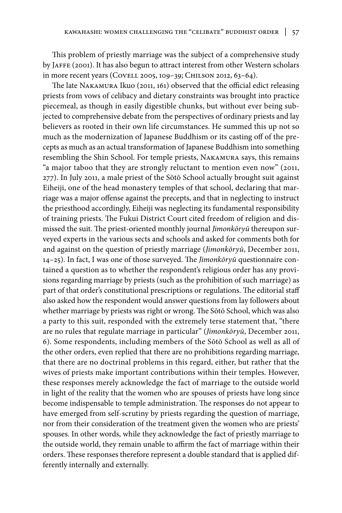This problem of priestly marriage was the subject of a comprehensive study by JAFFE (2001). It has also begun to attract interest from other Western scholars in more recent years (Covell 2005, 109–39; Chilson 2012, 63–64).

The late Nakamura Ikuo (2011, 161) observed that the official edict releasing priests from vows of celibacy and dietary constraints was brought into practice piecemeal, as though in easily digestible chunks, but without ever being subjected to comprehensive debate from the perspectives of ordinary priests and lay believers as rooted in their own life circumstances. He summed this up not so much as the modernization of Japanese Buddhism or its casting off of the precepts as much as an actual transformation of Japanese Buddhism into something resembling the Shin School. For temple priests, Nakamura says, this remains "a major taboo that they are strongly reluctant to mention even now" (2011, 277). In July 2011, a male priest of the Sōtō School actually brought suit against Eiheiji, one of the head monastery temples of that school, declaring that marriage was a major offense against the precepts, and that in neglecting to instruct the priesthood accordingly, Eiheiji was neglecting its fundamental responsibility of training priests. The Fukui District Court cited freedom of religion and dismissed the suit. The priest-oriented monthly journal *Jimonkōryū* thereupon surveyed experts in the various sects and schools and asked for comments both for and against on the question of priestly marriage (*Jimonkōryū*, December 2011, 14–25). In fact, I was one of those surveyed. The *Jimonkōryū* questionnaire contained a question as to whether the respondent's religious order has any provisions regarding marriage by priests (such as the prohibition of such marriage) as part of that order's constitutional prescriptions or regulations. The editorial staff also asked how the respondent would answer questions from lay followers about whether marriage by priests was right or wrong. The Sōtō School, which was also a party to this suit, responded with the extremely terse statement that, "there are no rules that regulate marriage in particular" (*Jimonkōryū*, December 2011, 6). Some respondents, including members of the Sōtō School as well as all of the other orders, even replied that there are no prohibitions regarding marriage, that there are no doctrinal problems in this regard, either, but rather that the wives of priests make important contributions within their temples. However, these responses merely acknowledge the fact of marriage to the outside world in light of the reality that the women who are spouses of priests have long since become indispensable to temple administration. The responses do not appear to have emerged from self-scrutiny by priests regarding the question of marriage, nor from their consideration of the treatment given the women who are priests' spouses. In other words, while they acknowledge the fact of priestly marriage to the outside world, they remain unable to affirm the fact of marriage within their orders. These responses therefore represent a double standard that is applied differently internally and externally.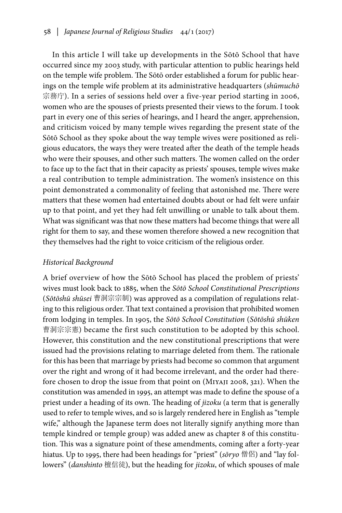In this article I will take up developments in the Sōtō School that have occurred since my 2003 study, with particular attention to public hearings held on the temple wife problem. The Sōtō order established a forum for public hearings on the temple wife problem at its administrative headquarters (*shūmuchō* 宗務庁). In a series of sessions held over a five-year period starting in 2006, women who are the spouses of priests presented their views to the forum. I took part in every one of this series of hearings, and I heard the anger, apprehension, and criticism voiced by many temple wives regarding the present state of the Sōtō School as they spoke about the way temple wives were positioned as religious educators, the ways they were treated after the death of the temple heads who were their spouses, and other such matters. The women called on the order to face up to the fact that in their capacity as priests' spouses, temple wives make a real contribution to temple administration. The women's insistence on this point demonstrated a commonality of feeling that astonished me. There were matters that these women had entertained doubts about or had felt were unfair up to that point, and yet they had felt unwilling or unable to talk about them. What was significant was that now these matters had become things that were all right for them to say, and these women therefore showed a new recognition that they themselves had the right to voice criticism of the religious order.

# *Historical Background*

A brief overview of how the Sōtō School has placed the problem of priests' wives must look back to 1885, when the *Sōtō School Constitutional Prescriptions*  (*Sōtōshū shūsei* 曹洞宗宗制) was approved as a compilation of regulations relating to this religious order. That text contained a provision that prohibited women from lodging in temples. In 1905, the *Sōtō School Constitution* (*Sōtōshū shūken* 曹洞宗宗憲) became the first such constitution to be adopted by this school. However, this constitution and the new constitutional prescriptions that were issued had the provisions relating to marriage deleted from them. The rationale for this has been that marriage by priests had become so common that argument over the right and wrong of it had become irrelevant, and the order had therefore chosen to drop the issue from that point on (Miyaji 2008, 321). When the constitution was amended in 1995, an attempt was made to define the spouse of a priest under a heading of its own. The heading of *jizoku* (a term that is generally used to refer to temple wives, and so is largely rendered here in English as "temple wife," although the Japanese term does not literally signify anything more than temple kindred or temple group) was added anew as chapter 8 of this constitution. This was a signature point of these amendments, coming after a forty-year hiatus. Up to 1995, there had been headings for "priest" (*sōryo* 僧侶) and "lay followers" (*danshinto* 檀信徒), but the heading for *jizoku*, of which spouses of male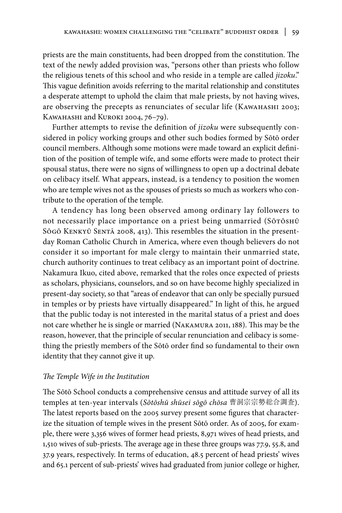priests are the main constituents, had been dropped from the constitution. The text of the newly added provision was, "persons other than priests who follow the religious tenets of this school and who reside in a temple are called *jizoku*." This vague definition avoids referring to the marital relationship and constitutes a desperate attempt to uphold the claim that male priests, by not having wives, are observing the precepts as renunciates of secular life (KAWAHASHI 2003; KAWAHASHI and KUROKI 2004, 76-79).

Further attempts to revise the definition of *jizoku* were subsequently considered in policy working groups and other such bodies formed by Sōtō order council members. Although some motions were made toward an explicit definition of the position of temple wife, and some efforts were made to protect their spousal status, there were no signs of willingness to open up a doctrinal debate on celibacy itself. What appears, instead, is a tendency to position the women who are temple wives not as the spouses of priests so much as workers who contribute to the operation of the temple.

A tendency has long been observed among ordinary lay followers to not necessarily place importance on a priest being unmarried (SōTōsHū Sōgō KENKYŪ SENTĀ 2008, 413). This resembles the situation in the presentday Roman Catholic Church in America, where even though believers do not consider it so important for male clergy to maintain their unmarried state, church authority continues to treat celibacy as an important point of doctrine. Nakamura Ikuo, cited above, remarked that the roles once expected of priests as scholars, physicians, counselors, and so on have become highly specialized in present-day society, so that "areas of endeavor that can only be specially pursued in temples or by priests have virtually disappeared." In light of this, he argued that the public today is not interested in the marital status of a priest and does not care whether he is single or married (Nakamura 2011, 188). This may be the reason, however, that the principle of secular renunciation and celibacy is something the priestly members of the Sōtō order find so fundamental to their own identity that they cannot give it up.

# *The Temple Wife in the Institution*

The Sōtō School conducts a comprehensive census and attitude survey of all its temples at ten-year intervals (*Sōtōshū shūsei sōgō chōsa* 曹洞宗宗勢総合調査). The latest reports based on the 2005 survey present some figures that characterize the situation of temple wives in the present Sōtō order. As of 2005, for example, there were 3,356 wives of former head priests, 8,971 wives of head priests, and 1,510 wives of sub-priests. The average age in these three groups was 77.9, 55.8, and 37.9 years, respectively. In terms of education, 48.5 percent of head priests' wives and 65.1 percent of sub-priests' wives had graduated from junior college or higher,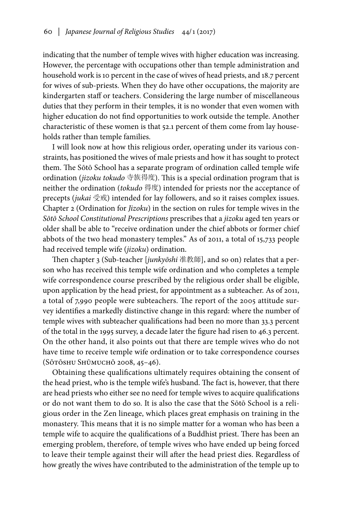indicating that the number of temple wives with higher education was increasing. However, the percentage with occupations other than temple administration and household work is 10 percent in the case of wives of head priests, and 18.7 percent for wives of sub-priests. When they do have other occupations, the majority are kindergarten staff or teachers. Considering the large number of miscellaneous duties that they perform in their temples, it is no wonder that even women with higher education do not find opportunities to work outside the temple. Another characteristic of these women is that 52.1 percent of them come from lay households rather than temple families.

I will look now at how this religious order, operating under its various constraints, has positioned the wives of male priests and how it has sought to protect them. The Sōtō School has a separate program of ordination called temple wife ordination (*jizoku tokudo* 寺族得度). This is a special ordination program that is neither the ordination (*tokudo* 得度) intended for priests nor the acceptance of precepts (*jukai* 受戒) intended for lay followers, and so it raises complex issues. Chapter 2 (Ordination for *Jizoku*) in the section on rules for temple wives in the *Sōtō School Constitutional Prescriptions* prescribes that a *jizoku* aged ten years or older shall be able to "receive ordination under the chief abbots or former chief abbots of the two head monastery temples." As of 2011, a total of 15,733 people had received temple wife (*jizoku*) ordination.

Then chapter 3 (Sub-teacher [*junkyōshi* 准教師], and so on) relates that a person who has received this temple wife ordination and who completes a temple wife correspondence course prescribed by the religious order shall be eligible, upon application by the head priest, for appointment as a subteacher. As of 2011, a total of 7,990 people were subteachers. The report of the 2005 attitude survey identifies a markedly distinctive change in this regard: where the number of temple wives with subteacher qualifications had been no more than 33.3 percent of the total in the 1995 survey, a decade later the figure had risen to 46.3 percent. On the other hand, it also points out that there are temple wives who do not have time to receive temple wife ordination or to take correspondence courses (Sōtōshu Shūmuchō 2008, 45–46).

Obtaining these qualifications ultimately requires obtaining the consent of the head priest, who is the temple wife's husband. The fact is, however, that there are head priests who either see no need for temple wives to acquire qualifications or do not want them to do so. It is also the case that the Sōtō School is a religious order in the Zen lineage, which places great emphasis on training in the monastery. This means that it is no simple matter for a woman who has been a temple wife to acquire the qualifications of a Buddhist priest. There has been an emerging problem, therefore, of temple wives who have ended up being forced to leave their temple against their will after the head priest dies. Regardless of how greatly the wives have contributed to the administration of the temple up to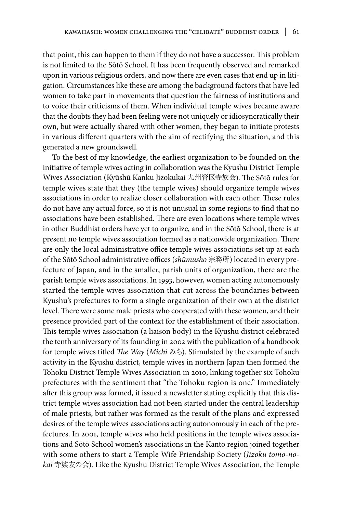that point, this can happen to them if they do not have a successor. This problem is not limited to the Sōtō School. It has been frequently observed and remarked upon in various religious orders, and now there are even cases that end up in litigation. Circumstances like these are among the background factors that have led women to take part in movements that question the fairness of institutions and to voice their criticisms of them. When individual temple wives became aware that the doubts they had been feeling were not uniquely or idiosyncratically their own, but were actually shared with other women, they began to initiate protests in various different quarters with the aim of rectifying the situation, and this generated a new groundswell.

To the best of my knowledge, the earliest organization to be founded on the initiative of temple wives acting in collaboration was the Kyushu District Temple Wives Association (Kyūshū Kanku Jizokukai 九州管区寺族会). The Sōtō rules for temple wives state that they (the temple wives) should organize temple wives associations in order to realize closer collaboration with each other. These rules do not have any actual force, so it is not unusual in some regions to find that no associations have been established. There are even locations where temple wives in other Buddhist orders have yet to organize, and in the Sōtō School, there is at present no temple wives association formed as a nationwide organization. There are only the local administrative office temple wives associations set up at each of the Sōtō School administrative offices (*shūmusho* 宗務所) located in every prefecture of Japan, and in the smaller, parish units of organization, there are the parish temple wives associations. In 1993, however, women acting autonomously started the temple wives association that cut across the boundaries between Kyushu's prefectures to form a single organization of their own at the district level. There were some male priests who cooperated with these women, and their presence provided part of the context for the establishment of their association. This temple wives association (a liaison body) in the Kyushu district celebrated the tenth anniversary of its founding in 2002 with the publication of a handbook for temple wives titled *The Way* (*Michi* みち). Stimulated by the example of such activity in the Kyushu district, temple wives in northern Japan then formed the Tohoku District Temple Wives Association in 2010, linking together six Tohoku prefectures with the sentiment that "the Tohoku region is one." Immediately after this group was formed, it issued a newsletter stating explicitly that this district temple wives association had not been started under the central leadership of male priests, but rather was formed as the result of the plans and expressed desires of the temple wives associations acting autonomously in each of the prefectures. In 2001, temple wives who held positions in the temple wives associations and Sōtō School women's associations in the Kanto region joined together with some others to start a Temple Wife Friendship Society (*Jizoku tomo-nokai* 寺族友の会). Like the Kyushu District Temple Wives Association, the Temple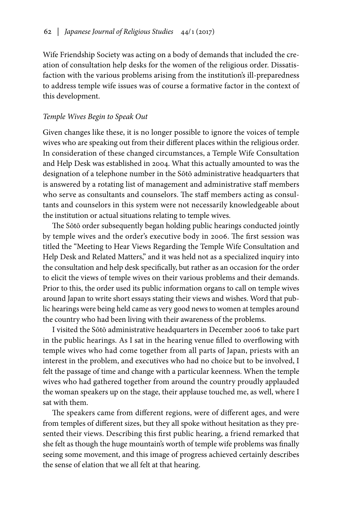Wife Friendship Society was acting on a body of demands that included the creation of consultation help desks for the women of the religious order. Dissatisfaction with the various problems arising from the institution's ill-preparedness to address temple wife issues was of course a formative factor in the context of this development.

### *Temple Wives Begin to Speak Out*

Given changes like these, it is no longer possible to ignore the voices of temple wives who are speaking out from their different places within the religious order. In consideration of these changed circumstances, a Temple Wife Consultation and Help Desk was established in 2004. What this actually amounted to was the designation of a telephone number in the Sōtō administrative headquarters that is answered by a rotating list of management and administrative staff members who serve as consultants and counselors. The staff members acting as consultants and counselors in this system were not necessarily knowledgeable about the institution or actual situations relating to temple wives.

The Sōtō order subsequently began holding public hearings conducted jointly by temple wives and the order's executive body in 2006. The first session was titled the "Meeting to Hear Views Regarding the Temple Wife Consultation and Help Desk and Related Matters," and it was held not as a specialized inquiry into the consultation and help desk specifically, but rather as an occasion for the order to elicit the views of temple wives on their various problems and their demands. Prior to this, the order used its public information organs to call on temple wives around Japan to write short essays stating their views and wishes. Word that public hearings were being held came as very good news to women at temples around the country who had been living with their awareness of the problems.

I visited the Sōtō administrative headquarters in December 2006 to take part in the public hearings. As I sat in the hearing venue filled to overflowing with temple wives who had come together from all parts of Japan, priests with an interest in the problem, and executives who had no choice but to be involved, I felt the passage of time and change with a particular keenness. When the temple wives who had gathered together from around the country proudly applauded the woman speakers up on the stage, their applause touched me, as well, where I sat with them.

The speakers came from different regions, were of different ages, and were from temples of different sizes, but they all spoke without hesitation as they presented their views. Describing this first public hearing, a friend remarked that she felt as though the huge mountain's worth of temple wife problems was finally seeing some movement, and this image of progress achieved certainly describes the sense of elation that we all felt at that hearing.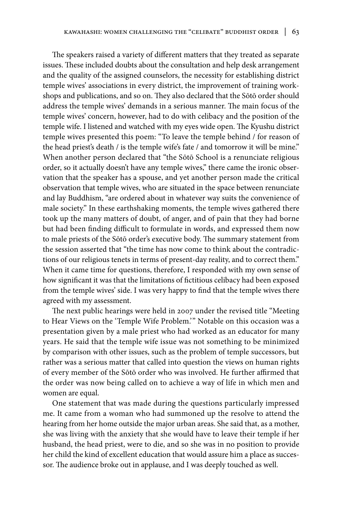The speakers raised a variety of different matters that they treated as separate issues. These included doubts about the consultation and help desk arrangement and the quality of the assigned counselors, the necessity for establishing district temple wives' associations in every district, the improvement of training workshops and publications, and so on. They also declared that the Sōtō order should address the temple wives' demands in a serious manner. The main focus of the temple wives' concern, however, had to do with celibacy and the position of the temple wife. I listened and watched with my eyes wide open. The Kyushu district temple wives presented this poem: "To leave the temple behind / for reason of the head priest's death / is the temple wife's fate / and tomorrow it will be mine." When another person declared that "the Sōtō School is a renunciate religious order, so it actually doesn't have any temple wives," there came the ironic observation that the speaker has a spouse, and yet another person made the critical observation that temple wives, who are situated in the space between renunciate and lay Buddhism, "are ordered about in whatever way suits the convenience of male society." In these earthshaking moments, the temple wives gathered there took up the many matters of doubt, of anger, and of pain that they had borne but had been finding difficult to formulate in words, and expressed them now to male priests of the Sōtō order's executive body. The summary statement from the session asserted that "the time has now come to think about the contradictions of our religious tenets in terms of present-day reality, and to correct them." When it came time for questions, therefore, I responded with my own sense of how significant it was that the limitations of fictitious celibacy had been exposed from the temple wives' side. I was very happy to find that the temple wives there agreed with my assessment.

The next public hearings were held in 2007 under the revised title "Meeting to Hear Views on the 'Temple Wife Problem.'" Notable on this occasion was a presentation given by a male priest who had worked as an educator for many years. He said that the temple wife issue was not something to be minimized by comparison with other issues, such as the problem of temple successors, but rather was a serious matter that called into question the views on human rights of every member of the Sōtō order who was involved. He further affirmed that the order was now being called on to achieve a way of life in which men and women are equal.

One statement that was made during the questions particularly impressed me. It came from a woman who had summoned up the resolve to attend the hearing from her home outside the major urban areas. She said that, as a mother, she was living with the anxiety that she would have to leave their temple if her husband, the head priest, were to die, and so she was in no position to provide her child the kind of excellent education that would assure him a place as successor. The audience broke out in applause, and I was deeply touched as well.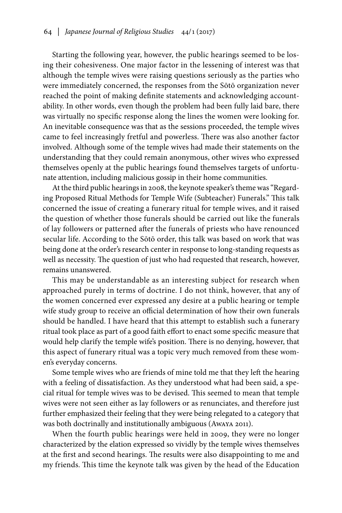Starting the following year, however, the public hearings seemed to be losing their cohesiveness. One major factor in the lessening of interest was that although the temple wives were raising questions seriously as the parties who were immediately concerned, the responses from the Sōtō organization never reached the point of making definite statements and acknowledging accountability. In other words, even though the problem had been fully laid bare, there was virtually no specific response along the lines the women were looking for. An inevitable consequence was that as the sessions proceeded, the temple wives came to feel increasingly fretful and powerless. There was also another factor involved. Although some of the temple wives had made their statements on the understanding that they could remain anonymous, other wives who expressed themselves openly at the public hearings found themselves targets of unfortunate attention, including malicious gossip in their home communities.

At the third public hearings in 2008, the keynote speaker's theme was "Regarding Proposed Ritual Methods for Temple Wife (Subteacher) Funerals." This talk concerned the issue of creating a funerary ritual for temple wives, and it raised the question of whether those funerals should be carried out like the funerals of lay followers or patterned after the funerals of priests who have renounced secular life. According to the Sōtō order, this talk was based on work that was being done at the order's research center in response to long-standing requests as well as necessity. The question of just who had requested that research, however, remains unanswered.

This may be understandable as an interesting subject for research when approached purely in terms of doctrine. I do not think, however, that any of the women concerned ever expressed any desire at a public hearing or temple wife study group to receive an official determination of how their own funerals should be handled. I have heard that this attempt to establish such a funerary ritual took place as part of a good faith effort to enact some specific measure that would help clarify the temple wife's position. There is no denying, however, that this aspect of funerary ritual was a topic very much removed from these women's everyday concerns.

Some temple wives who are friends of mine told me that they left the hearing with a feeling of dissatisfaction. As they understood what had been said, a special ritual for temple wives was to be devised. This seemed to mean that temple wives were not seen either as lay followers or as renunciates, and therefore just further emphasized their feeling that they were being relegated to a category that was both doctrinally and institutionally ambiguous (Awaya 2011).

When the fourth public hearings were held in 2009, they were no longer characterized by the elation expressed so vividly by the temple wives themselves at the first and second hearings. The results were also disappointing to me and my friends. This time the keynote talk was given by the head of the Education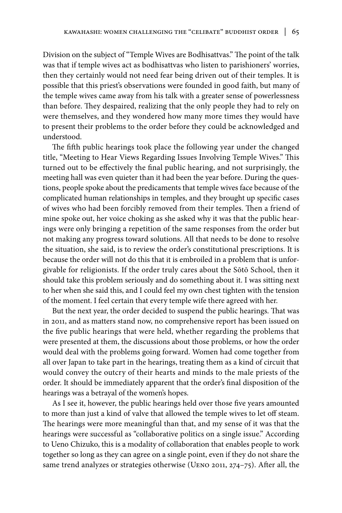Division on the subject of "Temple Wives are Bodhisattvas." The point of the talk was that if temple wives act as bodhisattvas who listen to parishioners' worries, then they certainly would not need fear being driven out of their temples. It is possible that this priest's observations were founded in good faith, but many of the temple wives came away from his talk with a greater sense of powerlessness than before. They despaired, realizing that the only people they had to rely on were themselves, and they wondered how many more times they would have to present their problems to the order before they could be acknowledged and understood.

The fifth public hearings took place the following year under the changed title, "Meeting to Hear Views Regarding Issues Involving Temple Wives." This turned out to be effectively the final public hearing, and not surprisingly, the meeting hall was even quieter than it had been the year before. During the questions, people spoke about the predicaments that temple wives face because of the complicated human relationships in temples, and they brought up specific cases of wives who had been forcibly removed from their temples. Then a friend of mine spoke out, her voice choking as she asked why it was that the public hearings were only bringing a repetition of the same responses from the order but not making any progress toward solutions. All that needs to be done to resolve the situation, she said, is to review the order's constitutional prescriptions. It is because the order will not do this that it is embroiled in a problem that is unforgivable for religionists. If the order truly cares about the Sōtō School, then it should take this problem seriously and do something about it. I was sitting next to her when she said this, and I could feel my own chest tighten with the tension of the moment. I feel certain that every temple wife there agreed with her.

But the next year, the order decided to suspend the public hearings. That was in 2011, and as matters stand now, no comprehensive report has been issued on the five public hearings that were held, whether regarding the problems that were presented at them, the discussions about those problems, or how the order would deal with the problems going forward. Women had come together from all over Japan to take part in the hearings, treating them as a kind of circuit that would convey the outcry of their hearts and minds to the male priests of the order. It should be immediately apparent that the order's final disposition of the hearings was a betrayal of the women's hopes.

As I see it, however, the public hearings held over those five years amounted to more than just a kind of valve that allowed the temple wives to let off steam. The hearings were more meaningful than that, and my sense of it was that the hearings were successful as "collaborative politics on a single issue." According to Ueno Chizuko, this is a modality of collaboration that enables people to work together so long as they can agree on a single point, even if they do not share the same trend analyzes or strategies otherwise (Ueno 2011, 274–75). After all, the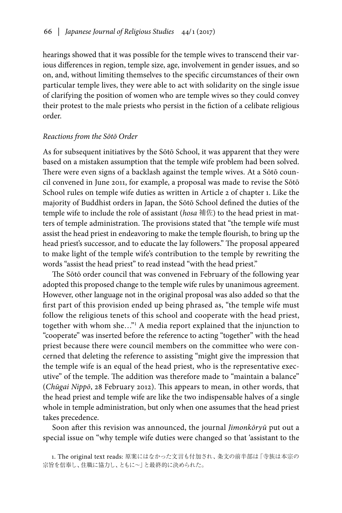hearings showed that it was possible for the temple wives to transcend their various differences in region, temple size, age, involvement in gender issues, and so on, and, without limiting themselves to the specific circumstances of their own particular temple lives, they were able to act with solidarity on the single issue of clarifying the position of women who are temple wives so they could convey their protest to the male priests who persist in the fiction of a celibate religious order.

### *Reactions from the Sōtō Order*

As for subsequent initiatives by the Sōtō School, it was apparent that they were based on a mistaken assumption that the temple wife problem had been solved. There were even signs of a backlash against the temple wives. At a Sōtō council convened in June 2011, for example, a proposal was made to revise the Sōtō School rules on temple wife duties as written in Article 2 of chapter 1. Like the majority of Buddhist orders in Japan, the Sōtō School defined the duties of the temple wife to include the role of assistant (*hosa* 補佐) to the head priest in matters of temple administration. The provisions stated that "the temple wife must assist the head priest in endeavoring to make the temple flourish, to bring up the head priest's successor, and to educate the lay followers." The proposal appeared to make light of the temple wife's contribution to the temple by rewriting the words "assist the head priest" to read instead "with the head priest."

The Sōtō order council that was convened in February of the following year adopted this proposed change to the temple wife rules by unanimous agreement. However, other language not in the original proposal was also added so that the first part of this provision ended up being phrased as, "the temple wife must follow the religious tenets of this school and cooperate with the head priest, together with whom she…"1 A media report explained that the injunction to "cooperate" was inserted before the reference to acting "together" with the head priest because there were council members on the committee who were concerned that deleting the reference to assisting "might give the impression that the temple wife is an equal of the head priest, who is the representative executive" of the temple. The addition was therefore made to "maintain a balance" (*Chūgai Nippō*, 28 February 2012). This appears to mean, in other words, that the head priest and temple wife are like the two indispensable halves of a single whole in temple administration, but only when one assumes that the head priest takes precedence.

Soon after this revision was announced, the journal *Jimonkōryū* put out a special issue on "why temple wife duties were changed so that 'assistant to the

<sup>1.</sup> The original text reads: 原案にはなかった文言も付加され、条文の前半部は「寺族は本宗の 宗旨を信奉し、住職に協力し、ともに~」と最終的に決められた。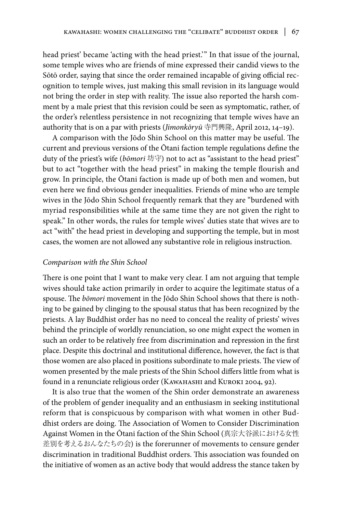head priest' became 'acting with the head priest.'" In that issue of the journal, some temple wives who are friends of mine expressed their candid views to the Sōtō order, saying that since the order remained incapable of giving official recognition to temple wives, just making this small revision in its language would not bring the order in step with reality. The issue also reported the harsh comment by a male priest that this revision could be seen as symptomatic, rather, of the order's relentless persistence in not recognizing that temple wives have an authority that is on a par with priests (*Jimonkōryū* 寺門興隆, April 2012, 14–19).

A comparison with the Jōdo Shin School on this matter may be useful. The current and previous versions of the Ōtani faction temple regulations define the duty of the priest's wife (*bōmori* 坊守) not to act as "assistant to the head priest" but to act "together with the head priest" in making the temple flourish and grow. In principle, the Ōtani faction is made up of both men and women, but even here we find obvious gender inequalities. Friends of mine who are temple wives in the Jōdo Shin School frequently remark that they are "burdened with myriad responsibilities while at the same time they are not given the right to speak." In other words, the rules for temple wives' duties state that wives are to act "with" the head priest in developing and supporting the temple, but in most cases, the women are not allowed any substantive role in religious instruction.

### *Comparison with the Shin School*

There is one point that I want to make very clear. I am not arguing that temple wives should take action primarily in order to acquire the legitimate status of a spouse. The *bōmori* movement in the Jōdo Shin School shows that there is nothing to be gained by clinging to the spousal status that has been recognized by the priests. A lay Buddhist order has no need to conceal the reality of priests' wives behind the principle of worldly renunciation, so one might expect the women in such an order to be relatively free from discrimination and repression in the first place. Despite this doctrinal and institutional difference, however, the fact is that those women are also placed in positions subordinate to male priests. The view of women presented by the male priests of the Shin School differs little from what is found in a renunciate religious order (KAWAHASHI and KUROKI 2004, 92).

It is also true that the women of the Shin order demonstrate an awareness of the problem of gender inequality and an enthusiasm in seeking institutional reform that is conspicuous by comparison with what women in other Buddhist orders are doing. The Association of Women to Consider Discrimination Against Women in the Ōtani faction of the Shin School (真宗大谷派における女性 差別を考えるおんなたちの会) is the forerunner of movements to censure gender discrimination in traditional Buddhist orders. This association was founded on the initiative of women as an active body that would address the stance taken by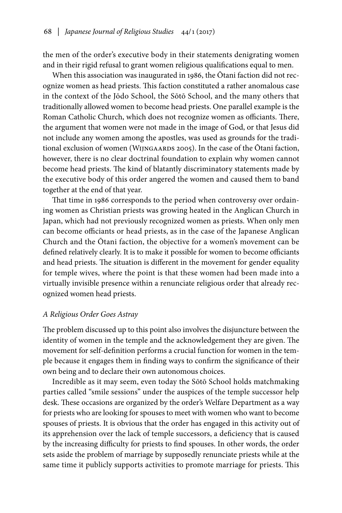the men of the order's executive body in their statements denigrating women and in their rigid refusal to grant women religious qualifications equal to men.

When this association was inaugurated in 1986, the Ōtani faction did not recognize women as head priests. This faction constituted a rather anomalous case in the context of the Jōdo School, the Sōtō School, and the many others that traditionally allowed women to become head priests. One parallel example is the Roman Catholic Church, which does not recognize women as officiants. There, the argument that women were not made in the image of God, or that Jesus did not include any women among the apostles, was used as grounds for the traditional exclusion of women (Wijngaards 2005). In the case of the Ōtani faction, however, there is no clear doctrinal foundation to explain why women cannot become head priests. The kind of blatantly discriminatory statements made by the executive body of this order angered the women and caused them to band together at the end of that year.

That time in 1986 corresponds to the period when controversy over ordaining women as Christian priests was growing heated in the Anglican Church in Japan, which had not previously recognized women as priests. When only men can become officiants or head priests, as in the case of the Japanese Anglican Church and the Ōtani faction, the objective for a women's movement can be defined relatively clearly. It is to make it possible for women to become officiants and head priests. The situation is different in the movement for gender equality for temple wives, where the point is that these women had been made into a virtually invisible presence within a renunciate religious order that already recognized women head priests.

### *A Religious Order Goes Astray*

The problem discussed up to this point also involves the disjuncture between the identity of women in the temple and the acknowledgement they are given. The movement for self-definition performs a crucial function for women in the temple because it engages them in finding ways to confirm the significance of their own being and to declare their own autonomous choices.

Incredible as it may seem, even today the Sōtō School holds matchmaking parties called "smile sessions" under the auspices of the temple successor help desk. These occasions are organized by the order's Welfare Department as a way for priests who are looking for spouses to meet with women who want to become spouses of priests. It is obvious that the order has engaged in this activity out of its apprehension over the lack of temple successors, a deficiency that is caused by the increasing difficulty for priests to find spouses. In other words, the order sets aside the problem of marriage by supposedly renunciate priests while at the same time it publicly supports activities to promote marriage for priests. This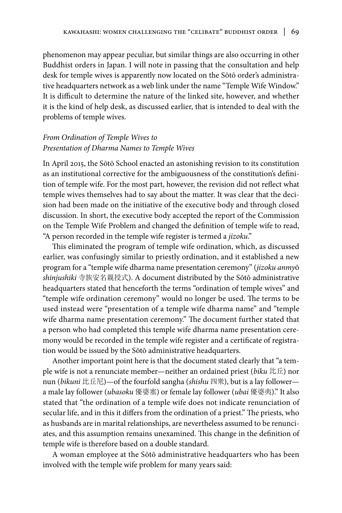phenomenon may appear peculiar, but similar things are also occurring in other Buddhist orders in Japan. I will note in passing that the consultation and help desk for temple wives is apparently now located on the Sōtō order's administrative headquarters network as a web link under the name "Temple Wife Window." It is difficult to determine the nature of the linked site, however, and whether it is the kind of help desk, as discussed earlier, that is intended to deal with the problems of temple wives.

# *From Ordination of Temple Wives to Presentation of Dharma Names to Temple Wives*

In April 2015, the Sōtō School enacted an astonishing revision to its constitution as an institutional corrective for the ambiguousness of the constitution's definition of temple wife. For the most part, however, the revision did not reflect what temple wives themselves had to say about the matter. It was clear that the decision had been made on the initiative of the executive body and through closed discussion. In short, the executive body accepted the report of the Commission on the Temple Wife Problem and changed the definition of temple wife to read, "A person recorded in the temple wife register is termed a *jizoku*."

This eliminated the program of temple wife ordination, which, as discussed earlier, was confusingly similar to priestly ordination, and it established a new program for a "temple wife dharma name presentation ceremony" (*jizoku anmy*ō *shinjushiki* 寺族安名親授式). A document distributed by the Sōtō administrative headquarters stated that henceforth the terms "ordination of temple wives" and "temple wife ordination ceremony" would no longer be used. The terms to be used instead were "presentation of a temple wife dharma name" and "temple wife dharma name presentation ceremony." The document further stated that a person who had completed this temple wife dharma name presentation ceremony would be recorded in the temple wife register and a certificate of registration would be issued by the Sōtō administrative headquarters.

Another important point here is that the document stated clearly that "a temple wife is not a renunciate member—neither an ordained priest (*biku* 比丘) nor nun (*bikuni* 比丘尼)—of the fourfold sangha (*shishu* 四衆), but is a lay follower a male lay follower (*ubasoku* 優婆塞) or female lay follower (*ubai* 優婆夷)." It also stated that "the ordination of a temple wife does not indicate renunciation of secular life, and in this it differs from the ordination of a priest." The priests, who as husbands are in marital relationships, are nevertheless assumed to be renunciates, and this assumption remains unexamined. This change in the definition of temple wife is therefore based on a double standard.

A woman employee at the Sōtō administrative headquarters who has been involved with the temple wife problem for many years said: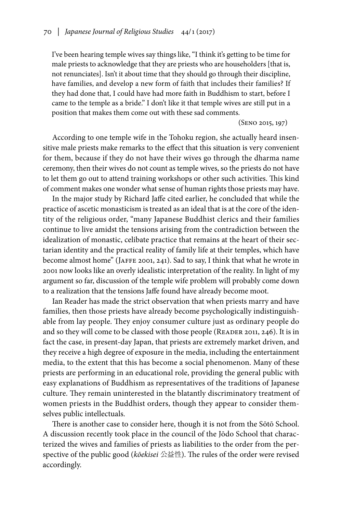I've been hearing temple wives say things like, "I think it's getting to be time for male priests to acknowledge that they are priests who are householders [that is, not renunciates]. Isn't it about time that they should go through their discipline, have families, and develop a new form of faith that includes their families? If they had done that, I could have had more faith in Buddhism to start, before I came to the temple as a bride." I don't like it that temple wives are still put in a position that makes them come out with these sad comments.

(Seno 2015, 197)

According to one temple wife in the Tohoku region, she actually heard insensitive male priests make remarks to the effect that this situation is very convenient for them, because if they do not have their wives go through the dharma name ceremony, then their wives do not count as temple wives, so the priests do not have to let them go out to attend training workshops or other such activities. This kind of comment makes one wonder what sense of human rights those priests may have.

In the major study by Richard Jaffe cited earlier, he concluded that while the practice of ascetic monasticism is treated as an ideal that is at the core of the identity of the religious order, "many Japanese Buddhist clerics and their families continue to live amidst the tensions arising from the contradiction between the idealization of monastic, celibate practice that remains at the heart of their sectarian identity and the practical reality of family life at their temples, which have become almost home" (Jaffe 2001, 241). Sad to say, I think that what he wrote in 2001 now looks like an overly idealistic interpretation of the reality. In light of my argument so far, discussion of the temple wife problem will probably come down to a realization that the tensions Jaffe found have already become moot.

Ian Reader has made the strict observation that when priests marry and have families, then those priests have already become psychologically indistinguishable from lay people. They enjoy consumer culture just as ordinary people do and so they will come to be classed with those people (READER 2011, 246). It is in fact the case, in present-day Japan, that priests are extremely market driven, and they receive a high degree of exposure in the media, including the entertainment media, to the extent that this has become a social phenomenon. Many of these priests are performing in an educational role, providing the general public with easy explanations of Buddhism as representatives of the traditions of Japanese culture. They remain uninterested in the blatantly discriminatory treatment of women priests in the Buddhist orders, though they appear to consider themselves public intellectuals.

There is another case to consider here, though it is not from the Sōtō School. A discussion recently took place in the council of the Jōdo School that characterized the wives and families of priests as liabilities to the order from the perspective of the public good (*kōekisei* 公益性). The rules of the order were revised accordingly.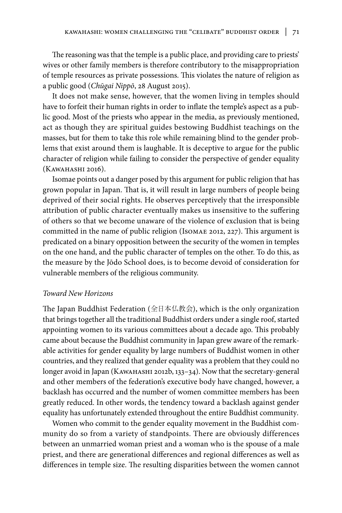The reasoning was that the temple is a public place, and providing care to priests' wives or other family members is therefore contributory to the misappropriation of temple resources as private possessions. This violates the nature of religion as a public good (*Chūgai Nippō*, 28 August 2015).

It does not make sense, however, that the women living in temples should have to forfeit their human rights in order to inflate the temple's aspect as a public good. Most of the priests who appear in the media, as previously mentioned, act as though they are spiritual guides bestowing Buddhist teachings on the masses, but for them to take this role while remaining blind to the gender problems that exist around them is laughable. It is deceptive to argue for the public character of religion while failing to consider the perspective of gender equality (Kawahashi 2016).

Isomae points out a danger posed by this argument for public religion that has grown popular in Japan. That is, it will result in large numbers of people being deprived of their social rights. He observes perceptively that the irresponsible attribution of public character eventually makes us insensitive to the suffering of others so that we become unaware of the violence of exclusion that is being committed in the name of public religion (Isomae 2012, 227). This argument is predicated on a binary opposition between the security of the women in temples on the one hand, and the public character of temples on the other. To do this, as the measure by the Jōdo School does, is to become devoid of consideration for vulnerable members of the religious community.

### *Toward New Horizons*

The Japan Buddhist Federation (全日本仏教会), which is the only organization that brings together all the traditional Buddhist orders under a single roof, started appointing women to its various committees about a decade ago. This probably came about because the Buddhist community in Japan grew aware of the remarkable activities for gender equality by large numbers of Buddhist women in other countries, and they realized that gender equality was a problem that they could no longer avoid in Japan (Kawahashi 2012b, 133–34). Now that the secretary-general and other members of the federation's executive body have changed, however, a backlash has occurred and the number of women committee members has been greatly reduced. In other words, the tendency toward a backlash against gender equality has unfortunately extended throughout the entire Buddhist community.

Women who commit to the gender equality movement in the Buddhist community do so from a variety of standpoints. There are obviously differences between an unmarried woman priest and a woman who is the spouse of a male priest, and there are generational differences and regional differences as well as differences in temple size. The resulting disparities between the women cannot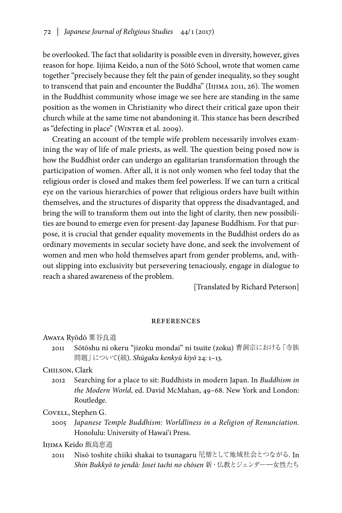be overlooked. The fact that solidarity is possible even in diversity, however, gives reason for hope. Iijima Keido, a nun of the Sōtō School, wrote that women came together "precisely because they felt the pain of gender inequality, so they sought to transcend that pain and encounter the Buddha" (Iijima 2011, 26). The women in the Buddhist community whose image we see here are standing in the same position as the women in Christianity who direct their critical gaze upon their church while at the same time not abandoning it. This stance has been described as "defecting in place" (WINTER et al. 2009).

Creating an account of the temple wife problem necessarily involves examining the way of life of male priests, as well. The question being posed now is how the Buddhist order can undergo an egalitarian transformation through the participation of women. After all, it is not only women who feel today that the religious order is closed and makes them feel powerless. If we can turn a critical eye on the various hierarchies of power that religious orders have built within themselves, and the structures of disparity that oppress the disadvantaged, and bring the will to transform them out into the light of clarity, then new possibilities are bound to emerge even for present-day Japanese Buddhism. For that purpose, it is crucial that gender equality movements in the Buddhist orders do as ordinary movements in secular society have done, and seek the involvement of women and men who hold themselves apart from gender problems, and, without slipping into exclusivity but persevering tenaciously, engage in dialogue to reach a shared awareness of the problem.

[Translated by Richard Peterson]

### **REFERENCES**

Awaya Ryōdō 粟谷良道

2011 Sōtōshu ni okeru "jizoku mondai" ni tsuite (zoku) 曹洞宗における「寺族 問題」について(続). *Shūgaku kenkyū kiyō* 24: 1–13.

Chilson, Clark

2012 Searching for a place to sit: Buddhists in modern Japan. In *Buddhism in the Modern World*, ed. David McMahan, 49–68. New York and London: Routledge.

Covell, Stephen G.

2005 *Japanese Temple Buddhism: Worldliness in a Religion of Renunciation*. Honolulu: University of Hawai'i Press.

IIIIMA Keido 飯島恵道

2011 Nisō toshite chiiki shakai to tsunagaru 尼僧として地域社会とつながる. In *Shin Bukkyō to jendā: Josei tachi no chōsen* 新・仏教とジェンダー―女性たち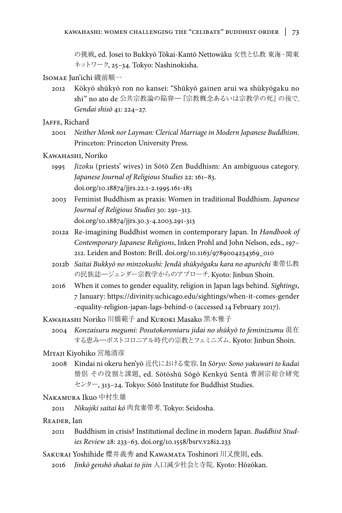の挑戦, ed. Josei to Bukkyō Tōkai-Kantō Nettowāku 女性と仏教 東海・関東 ネットワーク, 25–34. Tokyo: Nashinokisha.

# Isomae Jun'ichi 磯前順一

2012 Kōkyō shūkyō ron no kansei: "Shūkyō gainen arui wa shūkyōgaku no shi" no ato de 公共宗教論の陥穽―『宗教概念あるいは宗教学の死』の後で. *Gendai shisō* 41: 224–27.

JAFFE, Richard

2001 *Neither Monk nor Layman: Clerical Marriage in Modern Japanese Buddhism*. Princeton: Princeton University Press.

### Kawahashi, Noriko

- 1995 *Jizoku* (priests' wives) in Sōtō Zen Buddhism: An ambiguous category. *Japanese Journal of Religious Studies* 22: 161–83. doi.org/10.18874/jjrs.22.1-2.1995.161-183
- 2003 Feminist Buddhism as praxis: Women in traditional Buddhism. *Japanese Journal of Religious Studies* 30: 291–313. doi.org/10.18874/jjrs.30.3-4.2003.291-313
- 2012a Re-imagining Buddhist women in contemporary Japan. In *Handbook of Contemporary Japanese Religions*, Inken Prohl and John Nelson, eds., 197– 212. Leiden and Boston: Brill. doi.org/10.1163/9789004234369\_010
- 2012b *Saitai Bukkyō no minzokushi: Jendā shūkyōgaku kara no apurōchi* 妻帯仏教 の民族誌―ジェンダー宗教学からのアプローチ. Kyoto: Jinbun Shoin.
- 2016 When it comes to gender equality, religion in Japan lags behind. *Sightings*, 7 January: https://divinity.uchicago.edu/sightings/when-it-comes-gender -equality-religion-japan-lags-behind-0 (accessed 14 February 2017).

Kawahashi Noriko 川橋範子 and Kuroki Masako 黒木雅子

2004 *Konzaisuru megumi: Posutokoroniaru jidai no shūkyō to feminizumu* 混在 する恵み―ポストコロニアル時代の宗教とフェミニズム. Kyoto: Jinbun Shoin.

#### Miyaji Kiyohiko 宮地清彦

2008 Kindai ni okeru hen'yō 近代における変容. In *Sōryo: Sono yakuwari to kadai* 僧侶 その役割と課題, ed. Sōtōshū Sōgō Kenkyū Sentā 曹洞宗総合研究 センター, 313–24. Tokyo: Sōtō Institute for Buddhist Studies.

# Nakamura Ikuo 中村生雄

2011 *Nikujiki saitai kō* 肉食妻帯考. Tokyo: Seidosha.

#### Reader, Ian

- 2011 Buddhism in crisis? Institutional decline in modern Japan. *Buddhist Studies Review* 28: 233–63. doi.org/10.1558/bsrv.v28i2.233
- Sakurai Yoshihide 櫻井義秀 and Kawamata Toshinori 川又俊則, eds.
	- 2016 *Jinkō genshō shakai to jiin* 人口減少社会と寺院. Kyoto: Hōzōkan.